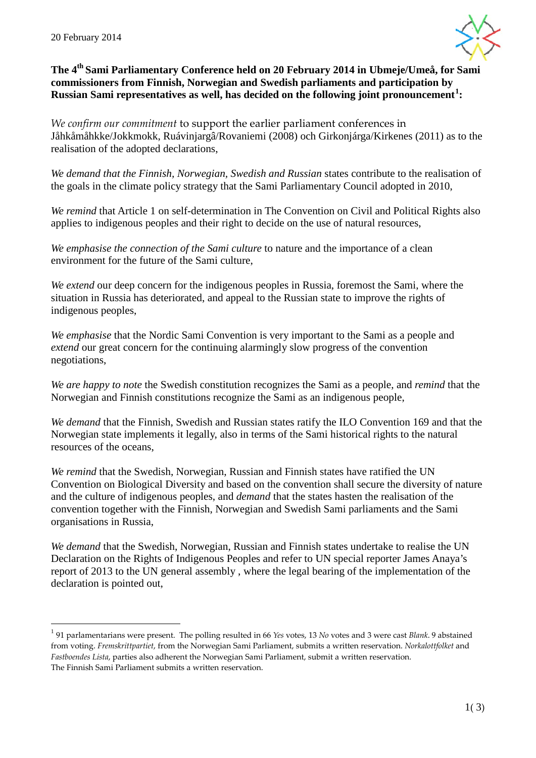

# **The 4th Sami Parliamentary Conference held on 20 February 2014 in Ubmeje/Umeå, for Sami commissioners from Finnish, Norwegian and Swedish parliaments and participation by Russian Sami representatives as well, has decided on the following joint pronouncement [1](#page-0-0) :**

*We confirm our commitment* to support the earlier parliament conferences in Jåhkåmåhkke/Jokkmokk, Ruávinjargâ/Rovaniemi (2008) och Girkonjárga/Kirkenes (2011) as to the realisation of the adopted declarations,

*We demand that the Finnish, Norwegian, Swedish and Russian* states contribute to the realisation of the goals in the climate policy strategy that the Sami Parliamentary Council adopted in 2010,

*We remind* that Article 1 on self-determination in The Convention on Civil and Political Rights also applies to indigenous peoples and their right to decide on the use of natural resources,

*We emphasise the connection of the Sami culture* to nature and the importance of a clean environment for the future of the Sami culture,

*We extend* our deep concern for the indigenous peoples in Russia, foremost the Sami, where the situation in Russia has deteriorated, and appeal to the Russian state to improve the rights of indigenous peoples,

*We emphasise* that the Nordic Sami Convention is very important to the Sami as a people and *extend* our great concern for the continuing alarmingly slow progress of the convention negotiations,

*We are happy to note* the Swedish constitution recognizes the Sami as a people, and *remind* that the Norwegian and Finnish constitutions recognize the Sami as an indigenous people,

*We demand* that the Finnish, Swedish and Russian states ratify the ILO Convention 169 and that the Norwegian state implements it legally, also in terms of the Sami historical rights to the natural resources of the oceans,

*We remind* that the Swedish, Norwegian, Russian and Finnish states have ratified the UN Convention on Biological Diversity and based on the convention shall secure the diversity of nature and the culture of indigenous peoples, and *demand* that the states hasten the realisation of the convention together with the Finnish, Norwegian and Swedish Sami parliaments and the Sami organisations in Russia,

*We demand* that the Swedish, Norwegian, Russian and Finnish states undertake to realise the UN Declaration on the Rights of Indigenous Peoples and refer to UN special reporter James Anaya's report of 2013 to the UN general assembly , where the legal bearing of the implementation of the declaration is pointed out,

<span id="page-0-0"></span> <sup>1</sup> 91 parlamentarians were present. The polling resulted in 66 *Yes* votes, 13 *No* votes and 3 were cast *Blank*. 9 abstained from voting. *Fremskrittpartiet*, from the Norwegian Sami Parliament, submits a written reservation. *Norkalottfolket* and *Fastboendes Lista*, parties also adherent the Norwegian Sami Parliament, submit a written reservation. The Finnish Sami Parliament submits a written reservation.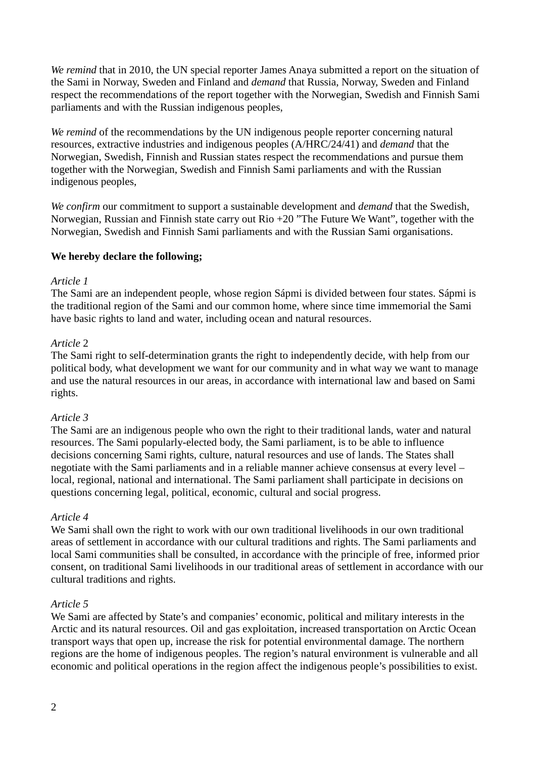*We remind* that in 2010, the UN special reporter James Anaya submitted a report on the situation of the Sami in Norway, Sweden and Finland and *demand* that Russia, Norway, Sweden and Finland respect the recommendations of the report together with the Norwegian, Swedish and Finnish Sami parliaments and with the Russian indigenous peoples,

*We remind* of the recommendations by the UN indigenous people reporter concerning natural resources, extractive industries and indigenous peoples (A/HRC/24/41) and *demand* that the Norwegian, Swedish, Finnish and Russian states respect the recommendations and pursue them together with the Norwegian, Swedish and Finnish Sami parliaments and with the Russian indigenous peoples,

*We confirm* our commitment to support a sustainable development and *demand* that the Swedish, Norwegian, Russian and Finnish state carry out Rio +20 "The Future We Want", together with the Norwegian, Swedish and Finnish Sami parliaments and with the Russian Sami organisations.

# **We hereby declare the following;**

### *Article 1*

The Sami are an independent people, whose region Sápmi is divided between four states. Sápmi is the traditional region of the Sami and our common home, where since time immemorial the Sami have basic rights to land and water, including ocean and natural resources.

## *Article* 2

The Sami right to self-determination grants the right to independently decide, with help from our political body, what development we want for our community and in what way we want to manage and use the natural resources in our areas, in accordance with international law and based on Sami rights.

### *Article 3*

The Sami are an indigenous people who own the right to their traditional lands, water and natural resources. The Sami popularly-elected body, the Sami parliament, is to be able to influence decisions concerning Sami rights, culture, natural resources and use of lands. The States shall negotiate with the Sami parliaments and in a reliable manner achieve consensus at every level – local, regional, national and international. The Sami parliament shall participate in decisions on questions concerning legal, political, economic, cultural and social progress.

### *Article 4*

We Sami shall own the right to work with our own traditional livelihoods in our own traditional areas of settlement in accordance with our cultural traditions and rights. The Sami parliaments and local Sami communities shall be consulted, in accordance with the principle of free, informed prior consent, on traditional Sami livelihoods in our traditional areas of settlement in accordance with our cultural traditions and rights.

# *Article 5*

We Sami are affected by State's and companies' economic, political and military interests in the Arctic and its natural resources. Oil and gas exploitation, increased transportation on Arctic Ocean transport ways that open up, increase the risk for potential environmental damage. The northern regions are the home of indigenous peoples. The region's natural environment is vulnerable and all economic and political operations in the region affect the indigenous people's possibilities to exist.